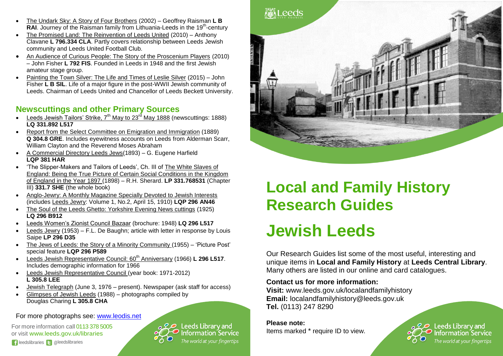- The Undark Sky: A Story of Four Brothers (2002) Geoffrey Raisman **L B**  RAI. Journey of the Raisman family from Lithuania-Leeds in the 19<sup>th</sup>-century
- The Promised Land: The Reinvention of Leeds United (2010) Anthony Clavane **L 796.334 CLA**. Partly covers relationship between Leeds Jewish community and Leeds United Football Club.
- An Audience of Curious People: The Story of the Proscenium Players (2010) – John Fisher **L 792 FIS**. Founded in Leeds in 1948 and the first Jewish amateur stage group.
- Painting the Town Silver: The Life and Times of Leslie Silver (2015) John Fisher **L B SIL**. Life of a major figure in the post-WWII Jewish community of Leeds. Chairman of Leeds United and Chancellor of Leeds Beckett University.

### **Newscuttings and other Primary Sources**

- **-** Leeds Jewish Tailors' Strike,  $7<sup>th</sup>$  May to 23<sup>rd</sup> May 1888 (newscuttings: 1888) **LQ 331.892 L517**
- Report from the Select Committee on Emigration and Immigration (1889) **Q 304.8 GRE**. Includes eyewitness accounts on Leeds from Alderman Scarr, William Clayton and the Reverend Moses Abraham
- A Commercial Directory Leeds Jews(1893) G. Eugene Harfield **LQP 381 HAR**
- 'The Slipper-Makers and Tailors of Leeds', Ch. III of The White Slaves of England: Being the True Picture of Certain Social Conditions in the Kingdom of England in the Year 1897 (1898) – R.H. Sherard. **LP 331.768531** (Chapter III) **331.7 SHE** (the whole book)
- Anglo-Jewry: A Monthly Magazine Specially Devoted to Jewish Interests (includes Leeds Jewry: Volume 1, No.2, April 15, 1910) **LQP 296 AN46**
- The Soul of the Leeds Ghetto: Yorkshire Evening News cuttings (1925) **LQ 296 B912**
- Leeds Women's Zionist Council Bazaar (brochure: 1948) **LQ 296 L517**
- Leeds Jewry (1953) F.L. De Baughn; article with letter in response by Louis Saipe **LP 296 D35**
- The Jews of Leeds: the Story of a Minority Community (1955) 'Picture Post' special feature **LQP 296 P589**
- Leeds Jewish Representative Council: 60<sup>th</sup> Anniversary (1966) **L 296 L517**. Includes demographic information for 1966
- Leeds Jewish Representative Council (year book: 1971-2012) **L 305.8 LEE**
- Jewish Telegraph (June 3, 1976 present). Newspaper (ask staff for access)
- Glimpses of Jewish Leeds (1988) photographs compiled by Douglas Charing **L 305.8 CHA**

For more photographs see: [www.leodis.net](http://www.leodis.net/)

For more information call 0113 378 5005 or visit [www.leeds.gov.uk/libraries](http://www.leeds.gov.uk/libraries)





# **Local and Family History Research Guides**

# **Jewish Leeds**

Our Research Guides list some of the most useful, interesting and unique items in **Local and Family History** at **Leeds Central Library**. Many others are listed in our online and card catalogues.

### **Contact us for more information:**

**Visit:** www.leeds.gov.uk/localandfamilyhistory **Email:** localandfamilyhistory@leeds.gov.uk **Tel.** (0113) 247 8290

**Please note:** Items marked \* require ID to view.

 $\mathcal{Q}\boldsymbol{\mathcal{Q}}$  Leeds Library and **Information Service** The world at your fingertips